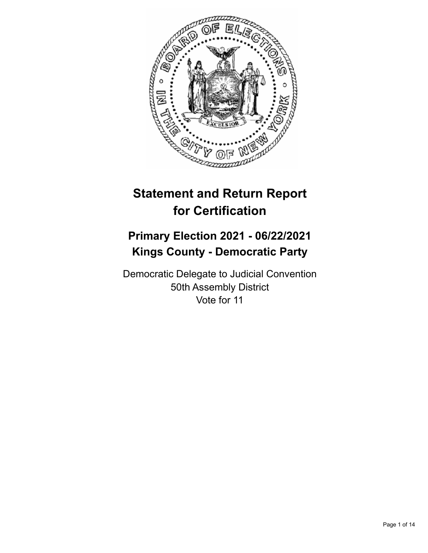

# **Statement and Return Report for Certification**

# **Primary Election 2021 - 06/22/2021 Kings County - Democratic Party**

Democratic Delegate to Judicial Convention 50th Assembly District Vote for 11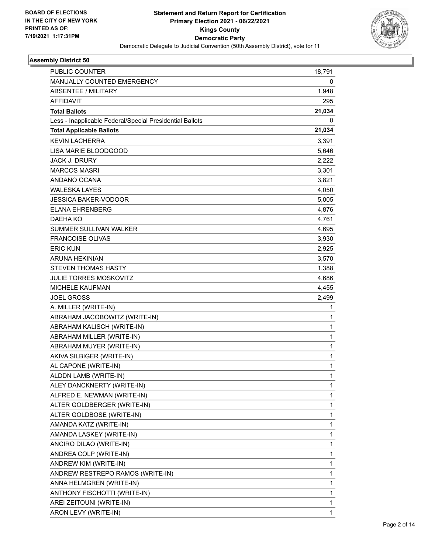

| <b>PUBLIC COUNTER</b>                                    | 18,791       |
|----------------------------------------------------------|--------------|
| MANUALLY COUNTED EMERGENCY                               | 0            |
| <b>ABSENTEE / MILITARY</b>                               | 1,948        |
| <b>AFFIDAVIT</b>                                         | 295          |
| <b>Total Ballots</b>                                     | 21,034       |
| Less - Inapplicable Federal/Special Presidential Ballots | 0            |
| <b>Total Applicable Ballots</b>                          | 21,034       |
| <b>KEVIN LACHERRA</b>                                    | 3,391        |
| LISA MARIE BLOODGOOD                                     | 5,646        |
| <b>JACK J. DRURY</b>                                     | 2,222        |
| <b>MARCOS MASRI</b>                                      | 3,301        |
| ANDANO OCANA                                             | 3,821        |
| <b>WALESKA LAYES</b>                                     | 4,050        |
| JESSICA BAKER-VODOOR                                     | 5,005        |
| <b>ELANA EHRENBERG</b>                                   | 4,876        |
| DAEHA KO                                                 | 4,761        |
| SUMMER SULLIVAN WALKER                                   | 4,695        |
| <b>FRANCOISE OLIVAS</b>                                  | 3,930        |
| <b>ERIC KUN</b>                                          | 2,925        |
| ARUNA HEKINIAN                                           | 3,570        |
| <b>STEVEN THOMAS HASTY</b>                               | 1,388        |
| <b>JULIE TORRES MOSKOVITZ</b>                            | 4,686        |
| <b>MICHELE KAUFMAN</b>                                   | 4,455        |
| <b>JOEL GROSS</b>                                        | 2,499        |
| A. MILLER (WRITE-IN)                                     | 1            |
| ABRAHAM JACOBOWITZ (WRITE-IN)                            | 1            |
| ABRAHAM KALISCH (WRITE-IN)                               | $\mathbf 1$  |
| ABRAHAM MILLER (WRITE-IN)                                | $\mathbf{1}$ |
| ABRAHAM MUYER (WRITE-IN)                                 | 1            |
| AKIVA SILBIGER (WRITE-IN)                                | $\mathbf 1$  |
| AL CAPONE (WRITE-IN)                                     | 1            |
| ALDDN LAMB (WRITE-IN)                                    | 1            |
| ALEY DANCKNERTY (WRITE-IN)                               | 1            |
| ALFRED E. NEWMAN (WRITE-IN)                              | 1            |
| ALTER GOLDBERGER (WRITE-IN)                              | 1            |
| ALTER GOLDBOSE (WRITE-IN)                                | 1            |
| AMANDA KATZ (WRITE-IN)                                   | 1            |
| AMANDA LASKEY (WRITE-IN)                                 | 1            |
| ANCIRO DILAO (WRITE-IN)                                  | $\mathbf{1}$ |
| ANDREA COLP (WRITE-IN)                                   | $\mathbf{1}$ |
| ANDREW KIM (WRITE-IN)                                    | 1            |
| ANDREW RESTREPO RAMOS (WRITE-IN)                         | $\mathbf{1}$ |
| ANNA HELMGREN (WRITE-IN)                                 | $\mathbf{1}$ |
| ANTHONY FISCHOTTI (WRITE-IN)                             | 1            |
| AREI ZEITOUNI (WRITE-IN)                                 | 1            |
| ARON LEVY (WRITE-IN)                                     | $\mathbf{1}$ |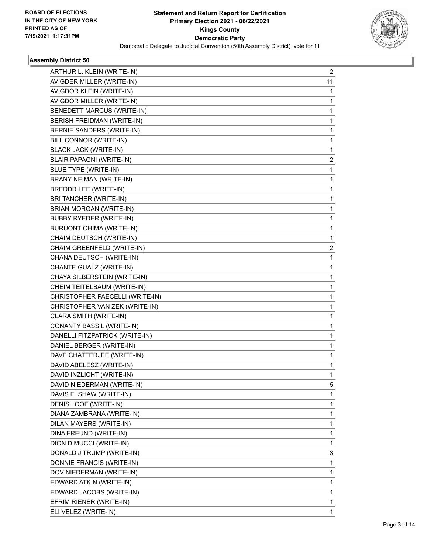

| ARTHUR L. KLEIN (WRITE-IN)      | 2  |
|---------------------------------|----|
| AVIGDER MILLER (WRITE-IN)       | 11 |
| AVIGDOR KLEIN (WRITE-IN)        | 1  |
| AVIGDOR MILLER (WRITE-IN)       | 1  |
| BENEDETT MARCUS (WRITE-IN)      | 1  |
| BERISH FREIDMAN (WRITE-IN)      | 1  |
| BERNIE SANDERS (WRITE-IN)       | 1  |
| BILL CONNOR (WRITE-IN)          | 1  |
| <b>BLACK JACK (WRITE-IN)</b>    | 1  |
| <b>BLAIR PAPAGNI (WRITE-IN)</b> | 2  |
| <b>BLUE TYPE (WRITE-IN)</b>     | 1  |
| BRANY NEIMAN (WRITE-IN)         | 1  |
| BREDDR LEE (WRITE-IN)           | 1  |
| BRI TANCHER (WRITE-IN)          | 1  |
| BRIAN MORGAN (WRITE-IN)         | 1  |
| <b>BUBBY RYEDER (WRITE-IN)</b>  | 1  |
| <b>BURUONT OHIMA (WRITE-IN)</b> | 1  |
| CHAIM DEUTSCH (WRITE-IN)        | 1  |
| CHAIM GREENFELD (WRITE-IN)      | 2  |
| CHANA DEUTSCH (WRITE-IN)        | 1  |
| CHANTE GUALZ (WRITE-IN)         | 1  |
| CHAYA SILBERSTEIN (WRITE-IN)    | 1  |
| CHEIM TEITELBAUM (WRITE-IN)     | 1  |
| CHRISTOPHER PAECELLI (WRITE-IN) | 1  |
| CHRISTOPHER VAN ZEK (WRITE-IN)  | 1  |
| CLARA SMITH (WRITE-IN)          | 1  |
| CONANTY BASSIL (WRITE-IN)       | 1  |
| DANELLI FITZPATRICK (WRITE-IN)  | 1  |
| DANIEL BERGER (WRITE-IN)        | 1  |
| DAVE CHATTERJEE (WRITE-IN)      | 1  |
| DAVID ABELESZ (WRITE-IN)        | 1  |
| DAVID INZLICHT (WRITE-IN)       | 1  |
| DAVID NIEDERMAN (WRITE-IN)      | 5  |
| DAVIS E. SHAW (WRITE-IN)        | 1  |
| DENIS LOOF (WRITE-IN)           | 1  |
| DIANA ZAMBRANA (WRITE-IN)       | 1  |
| DILAN MAYERS (WRITE-IN)         | 1  |
| DINA FREUND (WRITE-IN)          | 1  |
| DION DIMUCCI (WRITE-IN)         | 1  |
| DONALD J TRUMP (WRITE-IN)       | 3  |
| DONNIE FRANCIS (WRITE-IN)       | 1  |
| DOV NIEDERMAN (WRITE-IN)        | 1  |
| EDWARD ATKIN (WRITE-IN)         | 1  |
| EDWARD JACOBS (WRITE-IN)        | 1  |
| EFRIM RIENER (WRITE-IN)         | 1  |
| ELI VELEZ (WRITE-IN)            | 1  |
|                                 |    |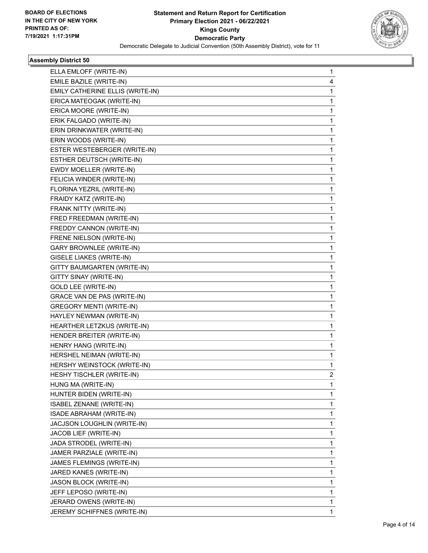

| ELLA EMLOFF (WRITE-IN)           | 1 |
|----------------------------------|---|
| EMILE BAZILE (WRITE-IN)          | 4 |
| EMILY CATHERINE ELLIS (WRITE-IN) | 1 |
| ERICA MATEOGAK (WRITE-IN)        | 1 |
| ERICA MOORE (WRITE-IN)           | 1 |
| ERIK FALGADO (WRITE-IN)          | 1 |
| ERIN DRINKWATER (WRITE-IN)       | 1 |
| ERIN WOODS (WRITE-IN)            | 1 |
| ESTER WESTEBERGER (WRITE-IN)     | 1 |
| ESTHER DEUTSCH (WRITE-IN)        | 1 |
| EWDY MOELLER (WRITE-IN)          | 1 |
| FELICIA WINDER (WRITE-IN)        | 1 |
| FLORINA YEZRIL (WRITE-IN)        | 1 |
| FRAIDY KATZ (WRITE-IN)           | 1 |
| FRANK NITTY (WRITE-IN)           | 1 |
| FRED FREEDMAN (WRITE-IN)         | 1 |
| FREDDY CANNON (WRITE-IN)         | 1 |
| FRENE NIELSON (WRITE-IN)         | 1 |
| GARY BROWNLEE (WRITE-IN)         | 1 |
| <b>GISELE LIAKES (WRITE-IN)</b>  | 1 |
| GITTY BAUMGARTEN (WRITE-IN)      | 1 |
| GITTY SINAY (WRITE-IN)           | 1 |
| <b>GOLD LEE (WRITE-IN)</b>       | 1 |
| GRACE VAN DE PAS (WRITE-IN)      | 1 |
| <b>GREGORY MENTI (WRITE-IN)</b>  | 1 |
| HAYLEY NEWMAN (WRITE-IN)         | 1 |
| HEARTHER LETZKUS (WRITE-IN)      | 1 |
| HENDER BREITER (WRITE-IN)        | 1 |
| HENRY HANG (WRITE-IN)            | 1 |
| HERSHEL NEIMAN (WRITE-IN)        | 1 |
| HERSHY WEINSTOCK (WRITE-IN)      | 1 |
| HESHY TISCHLER (WRITE-IN)        | 2 |
| HUNG MA (WRITE-IN)               | 1 |
| HUNTER BIDEN (WRITE-IN)          | 1 |
| ISABEL ZENANE (WRITE-IN)         | 1 |
| ISADE ABRAHAM (WRITE-IN)         | 1 |
| JACJSON LOUGHLIN (WRITE-IN)      | 1 |
| JACOB LIEF (WRITE-IN)            | 1 |
| JADA STRODEL (WRITE-IN)          | 1 |
| JAMER PARZIALE (WRITE-IN)        | 1 |
| JAMES FLEMINGS (WRITE-IN)        | 1 |
| JARED KANES (WRITE-IN)           | 1 |
| JASON BLOCK (WRITE-IN)           | 1 |
| JEFF LEPOSO (WRITE-IN)           | 1 |
| JERARD OWENS (WRITE-IN)          | 1 |
| JEREMY SCHIFFNES (WRITE-IN)      | 1 |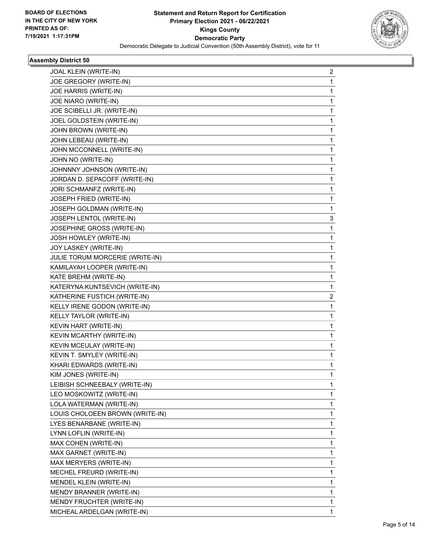

| JOAL KLEIN (WRITE-IN)<br>JOE GREGORY (WRITE-IN)<br>JOE HARRIS (WRITE-IN)<br>JOE NIARO (WRITE-IN)<br>JOE SCIBELLI JR. (WRITE-IN)<br>JOEL GOLDSTEIN (WRITE-IN)<br>JOHN BROWN (WRITE-IN)<br>JOHN LEBEAU (WRITE-IN)<br>JOHN MCCONNELL (WRITE-IN)<br>JOHN NO (WRITE-IN)<br>JOHNNNY JOHNSON (WRITE-IN)<br>JORDAN D. SEPACOFF (WRITE-IN)<br>JORI SCHMANFZ (WRITE-IN)<br>JOSEPH FRIED (WRITE-IN)<br>JOSEPH GOLDMAN (WRITE-IN)<br>JOSEPH LENTOL (WRITE-IN)<br>JOSEPHINE GROSS (WRITE-IN)<br>JOSH HOWLEY (WRITE-IN)<br>JOY LASKEY (WRITE-IN)<br>JULIE TORUM MORCERIE (WRITE-IN)<br>KAMILAYAH LOOPER (WRITE-IN)<br>KATE BREHM (WRITE-IN)<br>KATERYNA KUNTSEVICH (WRITE-IN)<br>KATHERINE FUSTICH (WRITE-IN)<br>KELLY IRENE GODON (WRITE-IN)<br>KELLY TAYLOR (WRITE-IN)<br>KEVIN HART (WRITE-IN)<br>KEVIN MCARTHY (WRITE-IN)<br>KEVIN MCEULAY (WRITE-IN)<br>KEVIN T. SMYLEY (WRITE-IN)<br>KHARI EDWARDS (WRITE-IN)<br>KIM JONES (WRITE-IN)<br>LEIBISH SCHNEEBALY (WRITE-IN)<br>LEO MOSKOWITZ (WRITE-IN)<br>LOLA WATERMAN (WRITE-IN)<br>LOUIS CHOLOEEN BROWN (WRITE-IN)<br>LYES BENARBANE (WRITE-IN)<br>LYNN LOFLIN (WRITE-IN)<br>MAX COHEN (WRITE-IN)<br>MAX GARNET (WRITE-IN)<br>MAX MERYERS (WRITE-IN)<br>MECHEL FREURD (WRITE-IN)<br>MENDEL KLEIN (WRITE-IN)<br>MENDY BRANNER (WRITE-IN)<br>MENDY FRUCHTER (WRITE-IN) |              |
|-------------------------------------------------------------------------------------------------------------------------------------------------------------------------------------------------------------------------------------------------------------------------------------------------------------------------------------------------------------------------------------------------------------------------------------------------------------------------------------------------------------------------------------------------------------------------------------------------------------------------------------------------------------------------------------------------------------------------------------------------------------------------------------------------------------------------------------------------------------------------------------------------------------------------------------------------------------------------------------------------------------------------------------------------------------------------------------------------------------------------------------------------------------------------------------------------------------------------------------------------------------------------------------------------------------|--------------|
|                                                                                                                                                                                                                                                                                                                                                                                                                                                                                                                                                                                                                                                                                                                                                                                                                                                                                                                                                                                                                                                                                                                                                                                                                                                                                                             | 2            |
|                                                                                                                                                                                                                                                                                                                                                                                                                                                                                                                                                                                                                                                                                                                                                                                                                                                                                                                                                                                                                                                                                                                                                                                                                                                                                                             | 1            |
|                                                                                                                                                                                                                                                                                                                                                                                                                                                                                                                                                                                                                                                                                                                                                                                                                                                                                                                                                                                                                                                                                                                                                                                                                                                                                                             | 1            |
|                                                                                                                                                                                                                                                                                                                                                                                                                                                                                                                                                                                                                                                                                                                                                                                                                                                                                                                                                                                                                                                                                                                                                                                                                                                                                                             | 1            |
|                                                                                                                                                                                                                                                                                                                                                                                                                                                                                                                                                                                                                                                                                                                                                                                                                                                                                                                                                                                                                                                                                                                                                                                                                                                                                                             | 1            |
|                                                                                                                                                                                                                                                                                                                                                                                                                                                                                                                                                                                                                                                                                                                                                                                                                                                                                                                                                                                                                                                                                                                                                                                                                                                                                                             | 1            |
|                                                                                                                                                                                                                                                                                                                                                                                                                                                                                                                                                                                                                                                                                                                                                                                                                                                                                                                                                                                                                                                                                                                                                                                                                                                                                                             | 1            |
|                                                                                                                                                                                                                                                                                                                                                                                                                                                                                                                                                                                                                                                                                                                                                                                                                                                                                                                                                                                                                                                                                                                                                                                                                                                                                                             | 1            |
|                                                                                                                                                                                                                                                                                                                                                                                                                                                                                                                                                                                                                                                                                                                                                                                                                                                                                                                                                                                                                                                                                                                                                                                                                                                                                                             | 1            |
|                                                                                                                                                                                                                                                                                                                                                                                                                                                                                                                                                                                                                                                                                                                                                                                                                                                                                                                                                                                                                                                                                                                                                                                                                                                                                                             | 1            |
|                                                                                                                                                                                                                                                                                                                                                                                                                                                                                                                                                                                                                                                                                                                                                                                                                                                                                                                                                                                                                                                                                                                                                                                                                                                                                                             | 1            |
|                                                                                                                                                                                                                                                                                                                                                                                                                                                                                                                                                                                                                                                                                                                                                                                                                                                                                                                                                                                                                                                                                                                                                                                                                                                                                                             | 1            |
|                                                                                                                                                                                                                                                                                                                                                                                                                                                                                                                                                                                                                                                                                                                                                                                                                                                                                                                                                                                                                                                                                                                                                                                                                                                                                                             | 1            |
|                                                                                                                                                                                                                                                                                                                                                                                                                                                                                                                                                                                                                                                                                                                                                                                                                                                                                                                                                                                                                                                                                                                                                                                                                                                                                                             | 1            |
|                                                                                                                                                                                                                                                                                                                                                                                                                                                                                                                                                                                                                                                                                                                                                                                                                                                                                                                                                                                                                                                                                                                                                                                                                                                                                                             | 1            |
|                                                                                                                                                                                                                                                                                                                                                                                                                                                                                                                                                                                                                                                                                                                                                                                                                                                                                                                                                                                                                                                                                                                                                                                                                                                                                                             | 3            |
|                                                                                                                                                                                                                                                                                                                                                                                                                                                                                                                                                                                                                                                                                                                                                                                                                                                                                                                                                                                                                                                                                                                                                                                                                                                                                                             | 1            |
|                                                                                                                                                                                                                                                                                                                                                                                                                                                                                                                                                                                                                                                                                                                                                                                                                                                                                                                                                                                                                                                                                                                                                                                                                                                                                                             | 1            |
|                                                                                                                                                                                                                                                                                                                                                                                                                                                                                                                                                                                                                                                                                                                                                                                                                                                                                                                                                                                                                                                                                                                                                                                                                                                                                                             | 1            |
|                                                                                                                                                                                                                                                                                                                                                                                                                                                                                                                                                                                                                                                                                                                                                                                                                                                                                                                                                                                                                                                                                                                                                                                                                                                                                                             | 1            |
|                                                                                                                                                                                                                                                                                                                                                                                                                                                                                                                                                                                                                                                                                                                                                                                                                                                                                                                                                                                                                                                                                                                                                                                                                                                                                                             | 1            |
|                                                                                                                                                                                                                                                                                                                                                                                                                                                                                                                                                                                                                                                                                                                                                                                                                                                                                                                                                                                                                                                                                                                                                                                                                                                                                                             | 1            |
|                                                                                                                                                                                                                                                                                                                                                                                                                                                                                                                                                                                                                                                                                                                                                                                                                                                                                                                                                                                                                                                                                                                                                                                                                                                                                                             | 1            |
|                                                                                                                                                                                                                                                                                                                                                                                                                                                                                                                                                                                                                                                                                                                                                                                                                                                                                                                                                                                                                                                                                                                                                                                                                                                                                                             | 2            |
|                                                                                                                                                                                                                                                                                                                                                                                                                                                                                                                                                                                                                                                                                                                                                                                                                                                                                                                                                                                                                                                                                                                                                                                                                                                                                                             | 1            |
|                                                                                                                                                                                                                                                                                                                                                                                                                                                                                                                                                                                                                                                                                                                                                                                                                                                                                                                                                                                                                                                                                                                                                                                                                                                                                                             | 1            |
|                                                                                                                                                                                                                                                                                                                                                                                                                                                                                                                                                                                                                                                                                                                                                                                                                                                                                                                                                                                                                                                                                                                                                                                                                                                                                                             | 1            |
|                                                                                                                                                                                                                                                                                                                                                                                                                                                                                                                                                                                                                                                                                                                                                                                                                                                                                                                                                                                                                                                                                                                                                                                                                                                                                                             | 1            |
|                                                                                                                                                                                                                                                                                                                                                                                                                                                                                                                                                                                                                                                                                                                                                                                                                                                                                                                                                                                                                                                                                                                                                                                                                                                                                                             | 1            |
|                                                                                                                                                                                                                                                                                                                                                                                                                                                                                                                                                                                                                                                                                                                                                                                                                                                                                                                                                                                                                                                                                                                                                                                                                                                                                                             | 1            |
|                                                                                                                                                                                                                                                                                                                                                                                                                                                                                                                                                                                                                                                                                                                                                                                                                                                                                                                                                                                                                                                                                                                                                                                                                                                                                                             | 1            |
|                                                                                                                                                                                                                                                                                                                                                                                                                                                                                                                                                                                                                                                                                                                                                                                                                                                                                                                                                                                                                                                                                                                                                                                                                                                                                                             | 1            |
|                                                                                                                                                                                                                                                                                                                                                                                                                                                                                                                                                                                                                                                                                                                                                                                                                                                                                                                                                                                                                                                                                                                                                                                                                                                                                                             | 1            |
|                                                                                                                                                                                                                                                                                                                                                                                                                                                                                                                                                                                                                                                                                                                                                                                                                                                                                                                                                                                                                                                                                                                                                                                                                                                                                                             | 1            |
|                                                                                                                                                                                                                                                                                                                                                                                                                                                                                                                                                                                                                                                                                                                                                                                                                                                                                                                                                                                                                                                                                                                                                                                                                                                                                                             | 1            |
|                                                                                                                                                                                                                                                                                                                                                                                                                                                                                                                                                                                                                                                                                                                                                                                                                                                                                                                                                                                                                                                                                                                                                                                                                                                                                                             | 1            |
|                                                                                                                                                                                                                                                                                                                                                                                                                                                                                                                                                                                                                                                                                                                                                                                                                                                                                                                                                                                                                                                                                                                                                                                                                                                                                                             | 1            |
|                                                                                                                                                                                                                                                                                                                                                                                                                                                                                                                                                                                                                                                                                                                                                                                                                                                                                                                                                                                                                                                                                                                                                                                                                                                                                                             | 1            |
|                                                                                                                                                                                                                                                                                                                                                                                                                                                                                                                                                                                                                                                                                                                                                                                                                                                                                                                                                                                                                                                                                                                                                                                                                                                                                                             | 1            |
|                                                                                                                                                                                                                                                                                                                                                                                                                                                                                                                                                                                                                                                                                                                                                                                                                                                                                                                                                                                                                                                                                                                                                                                                                                                                                                             | 1            |
|                                                                                                                                                                                                                                                                                                                                                                                                                                                                                                                                                                                                                                                                                                                                                                                                                                                                                                                                                                                                                                                                                                                                                                                                                                                                                                             | 1            |
|                                                                                                                                                                                                                                                                                                                                                                                                                                                                                                                                                                                                                                                                                                                                                                                                                                                                                                                                                                                                                                                                                                                                                                                                                                                                                                             | 1            |
|                                                                                                                                                                                                                                                                                                                                                                                                                                                                                                                                                                                                                                                                                                                                                                                                                                                                                                                                                                                                                                                                                                                                                                                                                                                                                                             | 1            |
|                                                                                                                                                                                                                                                                                                                                                                                                                                                                                                                                                                                                                                                                                                                                                                                                                                                                                                                                                                                                                                                                                                                                                                                                                                                                                                             | 1            |
|                                                                                                                                                                                                                                                                                                                                                                                                                                                                                                                                                                                                                                                                                                                                                                                                                                                                                                                                                                                                                                                                                                                                                                                                                                                                                                             | 1            |
| MICHEAL ARDELGAN (WRITE-IN)                                                                                                                                                                                                                                                                                                                                                                                                                                                                                                                                                                                                                                                                                                                                                                                                                                                                                                                                                                                                                                                                                                                                                                                                                                                                                 | $\mathbf{1}$ |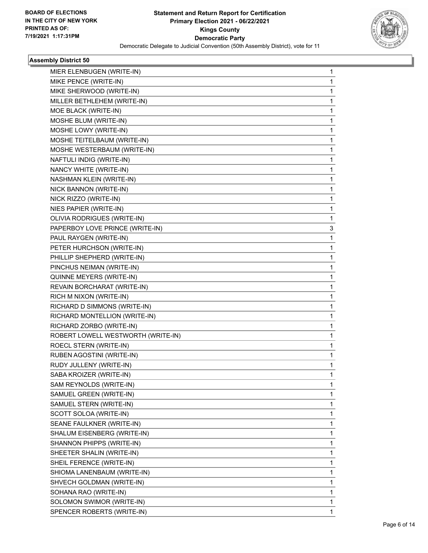

| MIER ELENBUGEN (WRITE-IN)          | 1  |
|------------------------------------|----|
| MIKE PENCE (WRITE-IN)              | 1  |
| MIKE SHERWOOD (WRITE-IN)           | 1  |
| MILLER BETHLEHEM (WRITE-IN)        | 1  |
| MOE BLACK (WRITE-IN)               | 1  |
| MOSHE BLUM (WRITE-IN)              | 1  |
| MOSHE LOWY (WRITE-IN)              | 1  |
| MOSHE TEITELBAUM (WRITE-IN)        | 1  |
| MOSHE WESTERBAUM (WRITE-IN)        | 1  |
| NAFTULI INDIG (WRITE-IN)           | 1  |
| NANCY WHITE (WRITE-IN)             | 1  |
| NASHMAN KLEIN (WRITE-IN)           | 1  |
| NICK BANNON (WRITE-IN)             | 1  |
| NICK RIZZO (WRITE-IN)              | 1  |
| NIES PAPIER (WRITE-IN)             | 1  |
| OLIVIA RODRIGUES (WRITE-IN)        | 1. |
| PAPERBOY LOVE PRINCE (WRITE-IN)    | 3  |
| PAUL RAYGEN (WRITE-IN)             | 1  |
| PETER HURCHSON (WRITE-IN)          | 1  |
| PHILLIP SHEPHERD (WRITE-IN)        | 1  |
| PINCHUS NEIMAN (WRITE-IN)          | 1  |
| QUINNE MEYERS (WRITE-IN)           | 1  |
| REVAIN BORCHARAT (WRITE-IN)        | 1  |
| RICH M NIXON (WRITE-IN)            | 1  |
| RICHARD D SIMMONS (WRITE-IN)       | 1  |
| RICHARD MONTELLION (WRITE-IN)      | 1  |
| RICHARD ZORBO (WRITE-IN)           | 1  |
| ROBERT LOWELL WESTWORTH (WRITE-IN) | 1  |
| ROECL STERN (WRITE-IN)             | 1  |
| RUBEN AGOSTINI (WRITE-IN)          | 1  |
| RUDY JULLENY (WRITE-IN)            | 1  |
| SABA KROIZER (WRITE-IN)            | 1  |
| SAM REYNOLDS (WRITE-IN)            | 1  |
| SAMUEL GREEN (WRITE-IN)            | 1  |
| SAMUEL STERN (WRITE-IN)            | 1  |
| SCOTT SOLOA (WRITE-IN)             | 1  |
| SEANE FAULKNER (WRITE-IN)          | 1. |
| SHALUM EISENBERG (WRITE-IN)        | 1  |
| SHANNON PHIPPS (WRITE-IN)          | 1  |
| SHEETER SHALIN (WRITE-IN)          | 1  |
| SHEIL FERENCE (WRITE-IN)           | 1  |
| SHIOMA LANENBAUM (WRITE-IN)        | 1  |
| SHVECH GOLDMAN (WRITE-IN)          | 1  |
| SOHANA RAO (WRITE-IN)              | 1  |
| SOLOMON SWIMOR (WRITE-IN)          | 1  |
| SPENCER ROBERTS (WRITE-IN)         | 1  |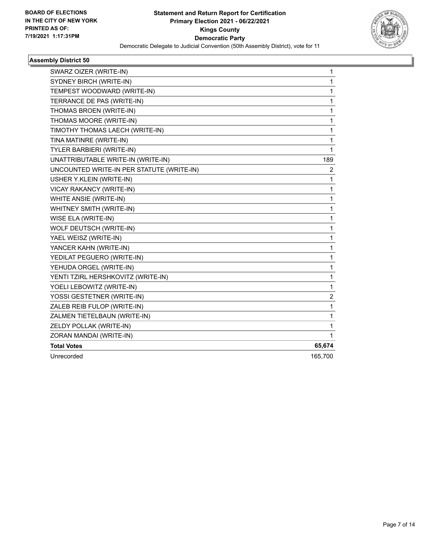

| SWARZ OIZER (WRITE-IN)                    | 1                       |
|-------------------------------------------|-------------------------|
| SYDNEY BIRCH (WRITE-IN)                   | 1                       |
| TEMPEST WOODWARD (WRITE-IN)               | 1                       |
| TERRANCE DE PAS (WRITE-IN)                | 1                       |
| THOMAS BROEN (WRITE-IN)                   | 1                       |
| THOMAS MOORE (WRITE-IN)                   | 1                       |
| TIMOTHY THOMAS LAECH (WRITE-IN)           | 1                       |
| TINA MATINRE (WRITE-IN)                   | 1                       |
| TYLER BARBIERI (WRITE-IN)                 | 1                       |
| UNATTRIBUTABLE WRITE-IN (WRITE-IN)        | 189                     |
| UNCOUNTED WRITE-IN PER STATUTE (WRITE-IN) | 2                       |
| USHER Y.KLEIN (WRITE-IN)                  | 1                       |
| VICAY RAKANCY (WRITE-IN)                  | 1                       |
| WHITE ANSIE (WRITE-IN)                    | 1                       |
| WHITNEY SMITH (WRITE-IN)                  | 1                       |
| WISE ELA (WRITE-IN)                       | 1                       |
| WOLF DEUTSCH (WRITE-IN)                   | 1                       |
| YAEL WEISZ (WRITE-IN)                     | 1                       |
| YANCER KAHN (WRITE-IN)                    | 1                       |
| YEDILAT PEGUERO (WRITE-IN)                | 1                       |
| YEHUDA ORGEL (WRITE-IN)                   | 1                       |
| YENTI TZIRL HERSHKOVITZ (WRITE-IN)        | 1                       |
| YOELI LEBOWITZ (WRITE-IN)                 | 1                       |
| YOSSI GESTETNER (WRITE-IN)                | $\overline{\mathbf{c}}$ |
| ZALEB REIB FULOP (WRITE-IN)               | 1                       |
| ZALMEN TIETELBAUN (WRITE-IN)              | 1                       |
| ZELDY POLLAK (WRITE-IN)                   | 1                       |
| ZORAN MANDAI (WRITE-IN)                   | 1                       |
| <b>Total Votes</b>                        | 65,674                  |
| Unrecorded                                | 165,700                 |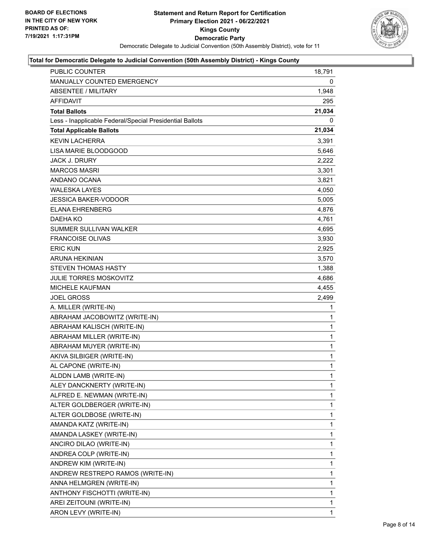

| PUBLIC COUNTER                                           | 18,791       |
|----------------------------------------------------------|--------------|
| <b>MANUALLY COUNTED EMERGENCY</b>                        | 0            |
| <b>ABSENTEE / MILITARY</b>                               | 1,948        |
| <b>AFFIDAVIT</b>                                         | 295          |
| <b>Total Ballots</b>                                     | 21,034       |
| Less - Inapplicable Federal/Special Presidential Ballots | 0            |
| <b>Total Applicable Ballots</b>                          | 21,034       |
| <b>KEVIN LACHERRA</b>                                    | 3,391        |
| LISA MARIE BLOODGOOD                                     | 5,646        |
| <b>JACK J. DRURY</b>                                     | 2,222        |
| <b>MARCOS MASRI</b>                                      | 3,301        |
| ANDANO OCANA                                             | 3,821        |
| <b>WALESKA LAYES</b>                                     | 4,050        |
| JESSICA BAKER-VODOOR                                     | 5,005        |
| <b>ELANA EHRENBERG</b>                                   | 4,876        |
| DAEHA KO                                                 | 4,761        |
| SUMMER SULLIVAN WALKER                                   | 4,695        |
| <b>FRANCOISE OLIVAS</b>                                  | 3,930        |
| <b>ERIC KUN</b>                                          | 2,925        |
| <b>ARUNA HEKINIAN</b>                                    | 3,570        |
| <b>STEVEN THOMAS HASTY</b>                               | 1,388        |
| <b>JULIE TORRES MOSKOVITZ</b>                            | 4,686        |
| <b>MICHELE KAUFMAN</b>                                   | 4,455        |
| <b>JOEL GROSS</b>                                        | 2,499        |
| A. MILLER (WRITE-IN)                                     | 1            |
| ABRAHAM JACOBOWITZ (WRITE-IN)                            | 1            |
| ABRAHAM KALISCH (WRITE-IN)                               | 1            |
| ABRAHAM MILLER (WRITE-IN)                                | 1            |
| ABRAHAM MUYER (WRITE-IN)                                 | $\mathbf{1}$ |
| AKIVA SILBIGER (WRITE-IN)                                | 1            |
| AL CAPONE (WRITE-IN)                                     | 1            |
| ALDDN LAMB (WRITE-IN)                                    | $\mathbf{1}$ |
| ALEY DANCKNERTY (WRITE-IN)                               | 1            |
| ALFRED E. NEWMAN (WRITE-IN)                              | 1            |
| ALTER GOLDBERGER (WRITE-IN)                              | 1            |
| ALTER GOLDBOSE (WRITE-IN)                                | 1            |
| AMANDA KATZ (WRITE-IN)                                   | 1            |
| AMANDA LASKEY (WRITE-IN)                                 | $\mathbf{1}$ |
| ANCIRO DILAO (WRITE-IN)                                  | 1            |
| ANDREA COLP (WRITE-IN)                                   | 1            |
| ANDREW KIM (WRITE-IN)                                    | 1            |
| ANDREW RESTREPO RAMOS (WRITE-IN)                         | 1            |
| ANNA HELMGREN (WRITE-IN)                                 | 1            |
| ANTHONY FISCHOTTI (WRITE-IN)                             | $\mathbf{1}$ |
| AREI ZEITOUNI (WRITE-IN)                                 | 1            |
| ARON LEVY (WRITE-IN)                                     | 1            |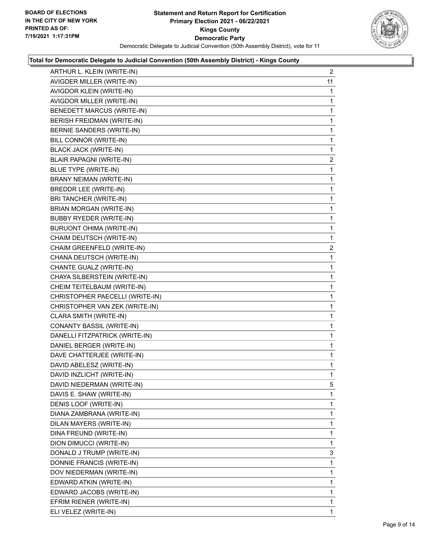

| ARTHUR L. KLEIN (WRITE-IN)        | $\overline{2}$ |
|-----------------------------------|----------------|
| AVIGDER MILLER (WRITE-IN)         | 11             |
| AVIGDOR KLEIN (WRITE-IN)          | 1              |
| AVIGDOR MILLER (WRITE-IN)         | 1              |
| <b>BENEDETT MARCUS (WRITE-IN)</b> | 1              |
| BERISH FREIDMAN (WRITE-IN)        | 1              |
| BERNIE SANDERS (WRITE-IN)         | 1              |
| BILL CONNOR (WRITE-IN)            | 1              |
| <b>BLACK JACK (WRITE-IN)</b>      | 1              |
| <b>BLAIR PAPAGNI (WRITE-IN)</b>   | $\overline{2}$ |
| <b>BLUE TYPE (WRITE-IN)</b>       | 1              |
| BRANY NEIMAN (WRITE-IN)           | 1              |
| BREDDR LEE (WRITE-IN)             | 1              |
| BRI TANCHER (WRITE-IN)            | 1              |
| BRIAN MORGAN (WRITE-IN)           | 1              |
| <b>BUBBY RYEDER (WRITE-IN)</b>    | 1              |
| BURUONT OHIMA (WRITE-IN)          | 1              |
| CHAIM DEUTSCH (WRITE-IN)          | 1              |
| CHAIM GREENFELD (WRITE-IN)        | $\overline{2}$ |
| CHANA DEUTSCH (WRITE-IN)          | 1              |
| CHANTE GUALZ (WRITE-IN)           | 1              |
| CHAYA SILBERSTEIN (WRITE-IN)      | 1              |
| CHEIM TEITELBAUM (WRITE-IN)       | 1              |
| CHRISTOPHER PAECELLI (WRITE-IN)   | 1              |
| CHRISTOPHER VAN ZEK (WRITE-IN)    | 1              |
| CLARA SMITH (WRITE-IN)            | 1              |
| CONANTY BASSIL (WRITE-IN)         | 1              |
| DANELLI FITZPATRICK (WRITE-IN)    | 1              |
| DANIEL BERGER (WRITE-IN)          | 1              |
| DAVE CHATTERJEE (WRITE-IN)        | 1              |
| DAVID ABELESZ (WRITE-IN)          | 1              |
| DAVID INZLICHT (WRITE-IN)         | 1              |
| DAVID NIEDERMAN (WRITE-IN)        | 5              |
| DAVIS E. SHAW (WRITE-IN)          | 1              |
| DENIS LOOF (WRITE-IN)             | 1              |
| DIANA ZAMBRANA (WRITE-IN)         | 1              |
| DILAN MAYERS (WRITE-IN)           | 1              |
| DINA FREUND (WRITE-IN)            | 1              |
| DION DIMUCCI (WRITE-IN)           | 1              |
| DONALD J TRUMP (WRITE-IN)         | 3              |
| DONNIE FRANCIS (WRITE-IN)         | 1              |
| DOV NIEDERMAN (WRITE-IN)          | 1              |
| EDWARD ATKIN (WRITE-IN)           | 1              |
| EDWARD JACOBS (WRITE-IN)          | 1              |
| EFRIM RIENER (WRITE-IN)           | 1              |
| ELI VELEZ (WRITE-IN)              | $\mathbf{1}$   |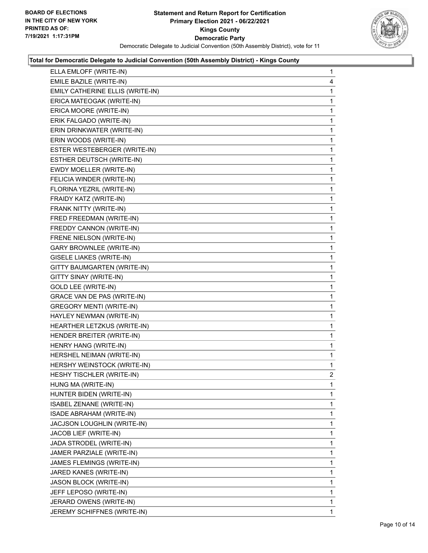

| ELLA EMLOFF (WRITE-IN)             | $\mathbf{1}$   |
|------------------------------------|----------------|
| EMILE BAZILE (WRITE-IN)            | 4              |
| EMILY CATHERINE ELLIS (WRITE-IN)   | 1              |
| ERICA MATEOGAK (WRITE-IN)          | 1              |
| ERICA MOORE (WRITE-IN)             | 1              |
| ERIK FALGADO (WRITE-IN)            | 1              |
| ERIN DRINKWATER (WRITE-IN)         | 1              |
| ERIN WOODS (WRITE-IN)              | 1              |
| ESTER WESTEBERGER (WRITE-IN)       | 1              |
| ESTHER DEUTSCH (WRITE-IN)          | 1              |
| EWDY MOELLER (WRITE-IN)            | 1              |
| FELICIA WINDER (WRITE-IN)          | 1              |
| FLORINA YEZRIL (WRITE-IN)          | 1              |
| FRAIDY KATZ (WRITE-IN)             | 1              |
| FRANK NITTY (WRITE-IN)             | 1              |
| FRED FREEDMAN (WRITE-IN)           | 1              |
| FREDDY CANNON (WRITE-IN)           | 1              |
| FRENE NIELSON (WRITE-IN)           | 1              |
| <b>GARY BROWNLEE (WRITE-IN)</b>    | 1              |
| GISELE LIAKES (WRITE-IN)           | 1              |
| <b>GITTY BAUMGARTEN (WRITE-IN)</b> | 1              |
| GITTY SINAY (WRITE-IN)             | 1              |
| <b>GOLD LEE (WRITE-IN)</b>         | 1              |
| GRACE VAN DE PAS (WRITE-IN)        | 1              |
| <b>GREGORY MENTI (WRITE-IN)</b>    | 1              |
| HAYLEY NEWMAN (WRITE-IN)           | 1              |
| HEARTHER LETZKUS (WRITE-IN)        | 1              |
| HENDER BREITER (WRITE-IN)          | 1              |
| HENRY HANG (WRITE-IN)              | 1              |
| HERSHEL NEIMAN (WRITE-IN)          | 1              |
| HERSHY WEINSTOCK (WRITE-IN)        | 1              |
| HESHY TISCHLER (WRITE-IN)          | $\overline{2}$ |
| HUNG MA (WRITE-IN)                 | 1              |
| HUNTER BIDEN (WRITE-IN)            | 1              |
| ISABEL ZENANE (WRITE-IN)           | 1              |
| ISADE ABRAHAM (WRITE-IN)           | 1              |
| JACJSON LOUGHLIN (WRITE-IN)        | 1              |
| JACOB LIEF (WRITE-IN)              | 1              |
| JADA STRODEL (WRITE-IN)            | 1              |
| JAMER PARZIALE (WRITE-IN)          | 1              |
| JAMES FLEMINGS (WRITE-IN)          | 1              |
| JARED KANES (WRITE-IN)             | 1              |
| JASON BLOCK (WRITE-IN)             | 1              |
| JEFF LEPOSO (WRITE-IN)             | 1              |
| JERARD OWENS (WRITE-IN)            | 1              |
| JEREMY SCHIFFNES (WRITE-IN)        | $\mathbf{1}$   |
|                                    |                |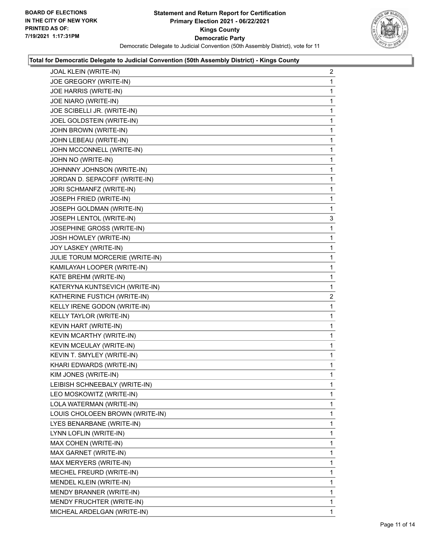

| JOAL KLEIN (WRITE-IN)           | $\overline{2}$ |
|---------------------------------|----------------|
| JOE GREGORY (WRITE-IN)          | 1              |
| JOE HARRIS (WRITE-IN)           | 1              |
| JOE NIARO (WRITE-IN)            | 1              |
| JOE SCIBELLI JR. (WRITE-IN)     | 1              |
| JOEL GOLDSTEIN (WRITE-IN)       | 1              |
| JOHN BROWN (WRITE-IN)           | 1              |
| JOHN LEBEAU (WRITE-IN)          | 1              |
| JOHN MCCONNELL (WRITE-IN)       | 1              |
| JOHN NO (WRITE-IN)              | 1              |
| JOHNNNY JOHNSON (WRITE-IN)      | 1              |
| JORDAN D. SEPACOFF (WRITE-IN)   | 1              |
| JORI SCHMANFZ (WRITE-IN)        | 1              |
| JOSEPH FRIED (WRITE-IN)         | 1              |
| JOSEPH GOLDMAN (WRITE-IN)       | 1              |
| JOSEPH LENTOL (WRITE-IN)        | 3              |
| JOSEPHINE GROSS (WRITE-IN)      | 1              |
| JOSH HOWLEY (WRITE-IN)          | 1              |
| JOY LASKEY (WRITE-IN)           | 1              |
| JULIE TORUM MORCERIE (WRITE-IN) | 1              |
| KAMILAYAH LOOPER (WRITE-IN)     | 1              |
| KATE BREHM (WRITE-IN)           | $\mathbf{1}$   |
| KATERYNA KUNTSEVICH (WRITE-IN)  | 1              |
| KATHERINE FUSTICH (WRITE-IN)    | $\overline{2}$ |
| KELLY IRENE GODON (WRITE-IN)    | 1              |
| KELLY TAYLOR (WRITE-IN)         | 1              |
| KEVIN HART (WRITE-IN)           | 1              |
| KEVIN MCARTHY (WRITE-IN)        | 1              |
| KEVIN MCEULAY (WRITE-IN)        | 1              |
| KEVIN T. SMYLEY (WRITE-IN)      | 1              |
| KHARI EDWARDS (WRITE-IN)        | $\mathbf{1}$   |
| KIM JONES (WRITE-IN)            | 1              |
| LEIBISH SCHNEEBALY (WRITE-IN)   | 1              |
| LEO MOSKOWITZ (WRITE-IN)        | 1              |
| LOLA WATERMAN (WRITE-IN)        | 1              |
| LOUIS CHOLOEEN BROWN (WRITE-IN) | 1              |
| LYES BENARBANE (WRITE-IN)       | 1              |
| LYNN LOFLIN (WRITE-IN)          | 1              |
| MAX COHEN (WRITE-IN)            | 1              |
| MAX GARNET (WRITE-IN)           | 1              |
| MAX MERYERS (WRITE-IN)          | 1              |
| MECHEL FREURD (WRITE-IN)        | 1              |
| MENDEL KLEIN (WRITE-IN)         | 1              |
| MENDY BRANNER (WRITE-IN)        | 1              |
| MENDY FRUCHTER (WRITE-IN)       | 1              |
| MICHEAL ARDELGAN (WRITE-IN)     | $\mathbf{1}$   |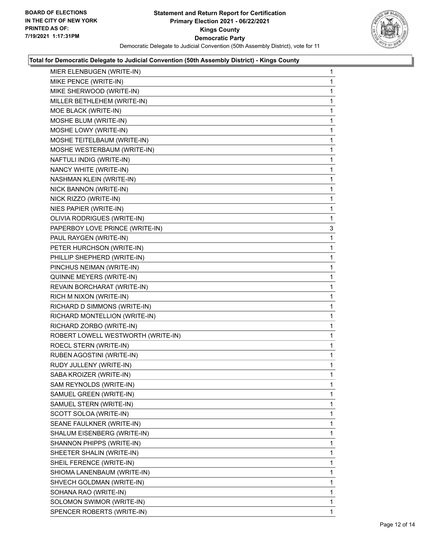

| MIER ELENBUGEN (WRITE-IN)          | 1            |
|------------------------------------|--------------|
| MIKE PENCE (WRITE-IN)              | 1            |
| MIKE SHERWOOD (WRITE-IN)           | 1            |
| MILLER BETHLEHEM (WRITE-IN)        | 1            |
| MOE BLACK (WRITE-IN)               | 1            |
| MOSHE BLUM (WRITE-IN)              | 1            |
| MOSHE LOWY (WRITE-IN)              | 1            |
| MOSHE TEITELBAUM (WRITE-IN)        | 1            |
| MOSHE WESTERBAUM (WRITE-IN)        | 1            |
| NAFTULI INDIG (WRITE-IN)           | 1            |
| NANCY WHITE (WRITE-IN)             | 1            |
| NASHMAN KLEIN (WRITE-IN)           | 1            |
| NICK BANNON (WRITE-IN)             | 1            |
| NICK RIZZO (WRITE-IN)              | 1            |
| NIES PAPIER (WRITE-IN)             | 1            |
| OLIVIA RODRIGUES (WRITE-IN)        | 1            |
| PAPERBOY LOVE PRINCE (WRITE-IN)    | 3            |
| PAUL RAYGEN (WRITE-IN)             | 1            |
| PETER HURCHSON (WRITE-IN)          | 1            |
| PHILLIP SHEPHERD (WRITE-IN)        | 1            |
| PINCHUS NEIMAN (WRITE-IN)          | 1            |
| QUINNE MEYERS (WRITE-IN)           | 1            |
| REVAIN BORCHARAT (WRITE-IN)        | 1            |
| RICH M NIXON (WRITE-IN)            | 1            |
| RICHARD D SIMMONS (WRITE-IN)       | 1            |
| RICHARD MONTELLION (WRITE-IN)      | 1            |
| RICHARD ZORBO (WRITE-IN)           | 1            |
| ROBERT LOWELL WESTWORTH (WRITE-IN) | 1            |
| ROECL STERN (WRITE-IN)             | 1            |
| RUBEN AGOSTINI (WRITE-IN)          | 1            |
| RUDY JULLENY (WRITE-IN)            | 1            |
| SABA KROIZER (WRITE-IN)            | 1            |
| SAM REYNOLDS (WRITE-IN)            | 1            |
| SAMUEL GREEN (WRITE-IN)            | 1            |
| SAMUEL STERN (WRITE-IN)            | 1            |
| SCOTT SOLOA (WRITE-IN)             | 1            |
| SEANE FAULKNER (WRITE-IN)          | 1            |
| SHALUM EISENBERG (WRITE-IN)        | 1            |
| SHANNON PHIPPS (WRITE-IN)          | 1            |
| SHEETER SHALIN (WRITE-IN)          | 1            |
| SHEIL FERENCE (WRITE-IN)           | 1            |
| SHIOMA LANENBAUM (WRITE-IN)        | 1            |
| SHVECH GOLDMAN (WRITE-IN)          | 1            |
| SOHANA RAO (WRITE-IN)              | 1            |
| SOLOMON SWIMOR (WRITE-IN)          | 1            |
| SPENCER ROBERTS (WRITE-IN)         | $\mathbf{1}$ |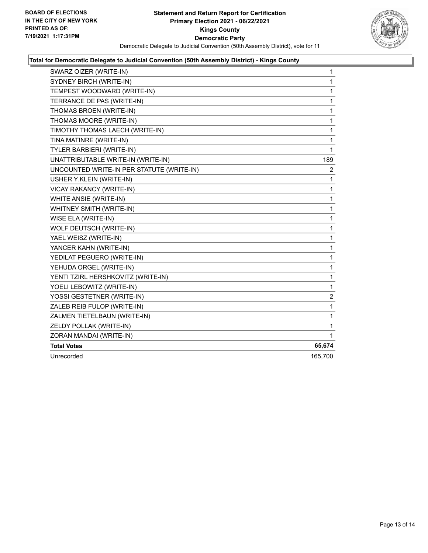

| SWARZ OIZER (WRITE-IN)                    | 1            |
|-------------------------------------------|--------------|
| SYDNEY BIRCH (WRITE-IN)                   | $\mathbf{1}$ |
| TEMPEST WOODWARD (WRITE-IN)               | 1            |
| TERRANCE DE PAS (WRITE-IN)                | 1            |
| THOMAS BROEN (WRITE-IN)                   | 1            |
| THOMAS MOORE (WRITE-IN)                   | $\mathbf{1}$ |
| TIMOTHY THOMAS LAECH (WRITE-IN)           | 1            |
| TINA MATINRE (WRITE-IN)                   | 1            |
| <b>TYLER BARBIERI (WRITE-IN)</b>          | 1            |
| UNATTRIBUTABLE WRITE-IN (WRITE-IN)        | 189          |
| UNCOUNTED WRITE-IN PER STATUTE (WRITE-IN) | 2            |
| USHER Y.KLEIN (WRITE-IN)                  | 1            |
| VICAY RAKANCY (WRITE-IN)                  | $\mathbf{1}$ |
| WHITE ANSIE (WRITE-IN)                    | 1            |
| WHITNEY SMITH (WRITE-IN)                  | 1            |
| WISE ELA (WRITE-IN)                       | 1            |
| WOLF DEUTSCH (WRITE-IN)                   | 1            |
| YAEL WEISZ (WRITE-IN)                     | 1            |
| YANCER KAHN (WRITE-IN)                    | 1            |
| YEDILAT PEGUERO (WRITE-IN)                | $\mathbf{1}$ |
| YEHUDA ORGEL (WRITE-IN)                   | 1            |
| YENTI TZIRL HERSHKOVITZ (WRITE-IN)        | 1            |
| YOELI LEBOWITZ (WRITE-IN)                 | 1            |
| YOSSI GESTETNER (WRITE-IN)                | 2            |
| ZALEB REIB FULOP (WRITE-IN)               | 1            |
| ZALMEN TIETELBAUN (WRITE-IN)              | 1            |
| ZELDY POLLAK (WRITE-IN)                   | 1            |
| ZORAN MANDAI (WRITE-IN)                   | 1            |
| <b>Total Votes</b>                        | 65,674       |
| Unrecorded                                | 165,700      |